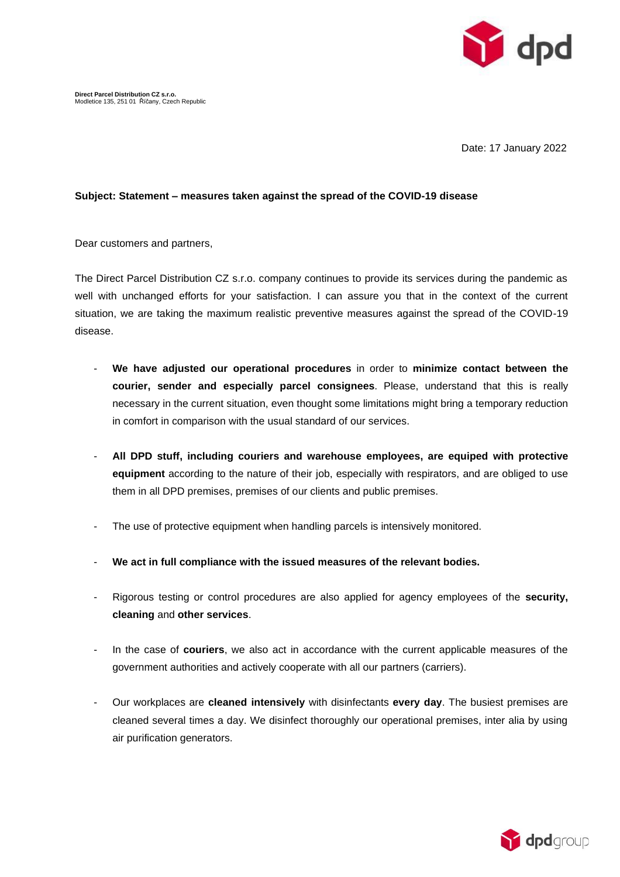

Date: 17 January 2022

## **Subject: Statement – measures taken against the spread of the COVID-19 disease**

Dear customers and partners,

The Direct Parcel Distribution CZ s.r.o. company continues to provide its services during the pandemic as well with unchanged efforts for your satisfaction. I can assure you that in the context of the current situation, we are taking the maximum realistic preventive measures against the spread of the COVID-19 disease.

- **We have adjusted our operational procedures** in order to **minimize contact between the courier, sender and especially parcel consignees**. Please, understand that this is really necessary in the current situation, even thought some limitations might bring a temporary reduction in comfort in comparison with the usual standard of our services.
- **All DPD stuff, including couriers and warehouse employees, are equiped with protective equipment** according to the nature of their job, especially with respirators, and are obliged to use them in all DPD premises, premises of our clients and public premises.
- The use of protective equipment when handling parcels is intensively monitored.
- **We act in full compliance with the issued measures of the relevant bodies.**
- Rigorous testing or control procedures are also applied for agency employees of the **security, cleaning** and **other services**.
- In the case of **couriers**, we also act in accordance with the current applicable measures of the government authorities and actively cooperate with all our partners (carriers).
- Our workplaces are **cleaned intensively** with disinfectants **every day**. The busiest premises are cleaned several times a day. We disinfect thoroughly our operational premises, inter alia by using air purification generators.